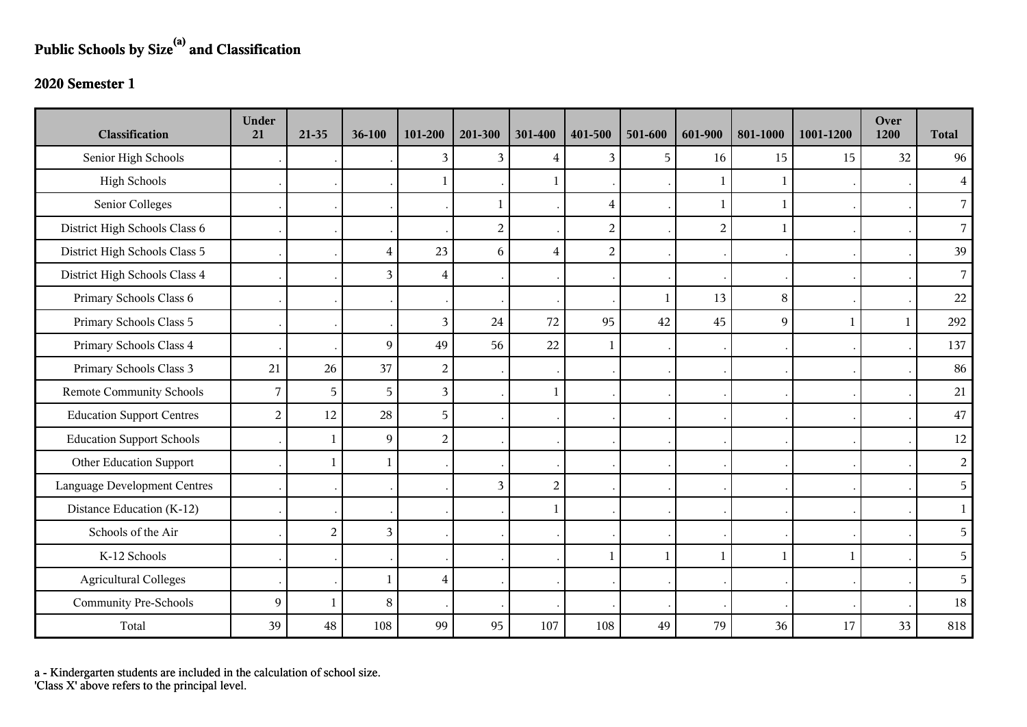## **Public Schools by Size(a) and Classification**

## **2020 Semester 1**

| <b>Classification</b>               | <b>Under</b><br>21 | $21-35$        | 36-100         | 101-200                 | 201-300        | 301-400        | 401-500        | 501-600      | 601-900        | 801-1000     | 1001-1200    | Over<br>1200 | <b>Total</b>   |
|-------------------------------------|--------------------|----------------|----------------|-------------------------|----------------|----------------|----------------|--------------|----------------|--------------|--------------|--------------|----------------|
| Senior High Schools                 |                    |                |                | 3                       | 3              | $\overline{4}$ | 3              | 5            | 16             | 15           | 15           | 32           | 96             |
| <b>High Schools</b>                 |                    |                |                |                         |                |                |                |              | 1              |              |              |              | $\overline{4}$ |
| Senior Colleges                     |                    |                |                |                         | 1              |                | $\overline{4}$ |              | 1              | 1            |              |              | $\overline{7}$ |
| District High Schools Class 6       |                    |                |                |                         | $\overline{2}$ |                | $\overline{c}$ |              | $\overline{2}$ | $\mathbf{1}$ |              |              | $\overline{7}$ |
| District High Schools Class 5       |                    |                | $\overline{4}$ | 23                      | 6              | $\overline{4}$ | $\overline{c}$ |              |                |              |              |              | 39             |
| District High Schools Class 4       |                    |                | $\overline{3}$ | 4                       |                |                |                |              |                |              |              |              | $\overline{7}$ |
| Primary Schools Class 6             |                    |                |                |                         |                |                |                | $\mathbf{1}$ | 13             | $\,8\,$      |              |              | 22             |
| Primary Schools Class 5             |                    |                |                | 3                       | 24             | 72             | 95             | 42           | 45             | 9            | $\mathbf{1}$ | 1            | 292            |
| Primary Schools Class 4             |                    |                | $\overline{9}$ | 49                      | 56             | 22             |                |              |                |              |              |              | 137            |
| Primary Schools Class 3             | 21                 | 26             | 37             | $\overline{2}$          |                |                |                |              |                |              |              |              | 86             |
| <b>Remote Community Schools</b>     | 7                  | 5              | 5              | $\overline{3}$          |                | $\mathbf{1}$   |                |              |                |              |              |              | 21             |
| <b>Education Support Centres</b>    | $\overline{2}$     | 12             | 28             | 5                       |                |                |                |              |                |              |              |              | $47\,$         |
| <b>Education Support Schools</b>    |                    | $\mathbf{1}$   | $\overline{9}$ | $\overline{2}$          |                |                |                |              |                |              |              |              | 12             |
| Other Education Support             |                    | $\mathbf{1}$   | $\mathbf{1}$   |                         |                |                |                |              |                |              |              |              | $\overline{2}$ |
| <b>Language Development Centres</b> |                    |                |                |                         | 3              | $\overline{2}$ |                |              |                |              |              |              | 5              |
| Distance Education (K-12)           |                    |                |                |                         |                | -1             |                |              |                |              |              |              | $\mathbf{1}$   |
| Schools of the Air                  |                    | $\overline{2}$ | 3              |                         |                |                |                |              |                |              |              |              | 5              |
| K-12 Schools                        |                    |                |                |                         |                |                | 1              | $\mathbf{1}$ | 1              | $\mathbf{1}$ | $\mathbf{1}$ |              | 5              |
| <b>Agricultural Colleges</b>        |                    |                | $\mathbf{1}$   | $\overline{\mathbf{4}}$ |                |                |                |              |                |              |              |              | 5              |
| <b>Community Pre-Schools</b>        | 9                  | $\mathbf{1}$   | 8              |                         |                |                |                |              |                |              |              |              | 18             |
| Total                               | 39                 | 48             | 108            | 99                      | 95             | 107            | 108            | 49           | 79             | 36           | 17           | 33           | 818            |

a - Kindergarten students are included in the calculation of school size.

'Class X' above refers to the principal level.